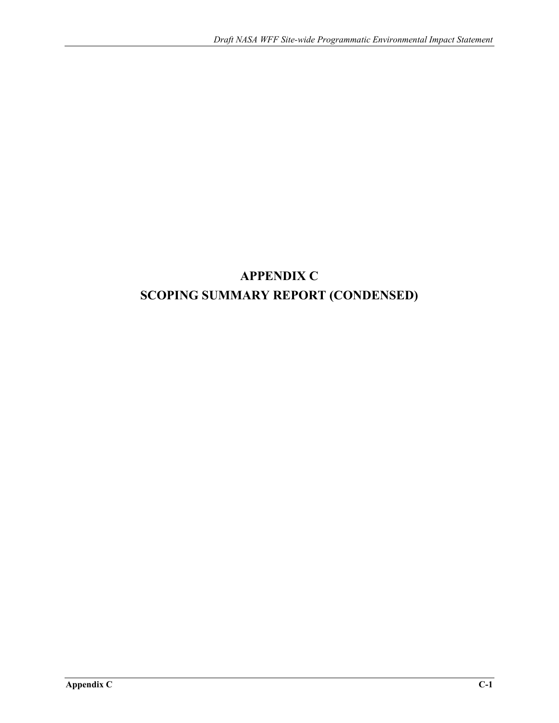# **APPENDIX C SCOPING SUMMARY REPORT (CONDENSED)**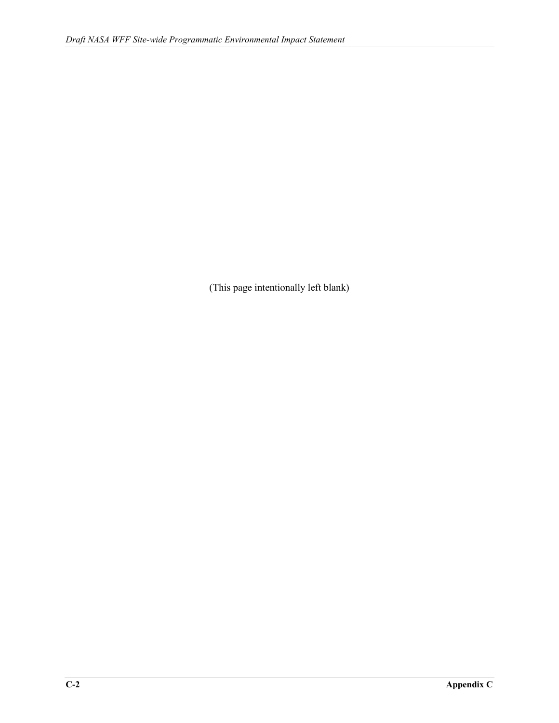(This page intentionally left blank)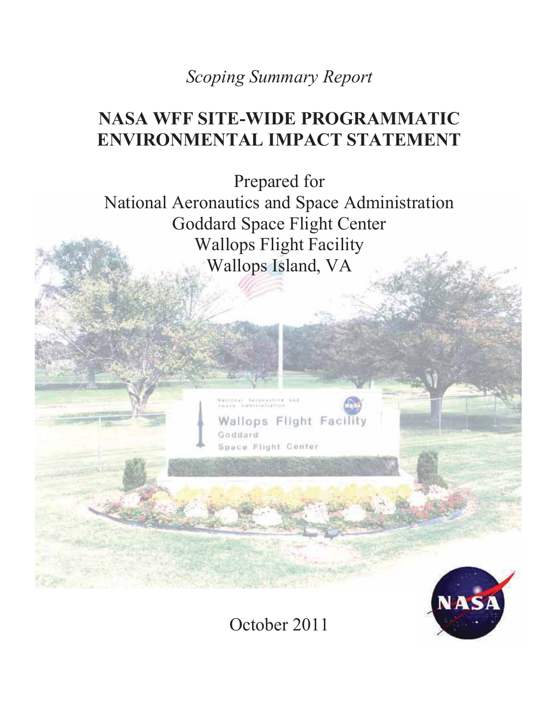# *Scoping Summary Report*

# **NASA WFF SITE-WIDE PROGRAMMATIC ENVIRONMENTAL IMPACT STATEMENT**

Prepared for National Aeronautics and Space Administration Goddard Space Flight Center Wallops Flight Facility Wallops Island, VA

usal ternastica kan

Space Flight Center

Goddard

**Wallops Flight Facility** 



October 2011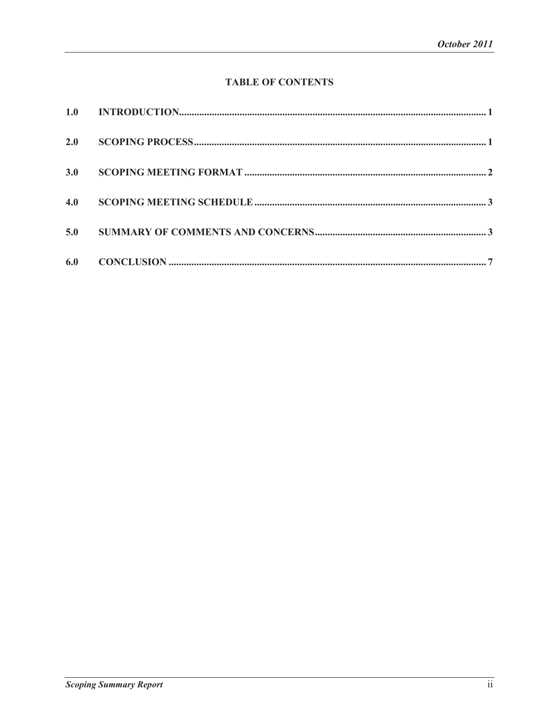# **TABLE OF CONTENTS**

| 2.0 |  |
|-----|--|
| 3.0 |  |
| 4.0 |  |
| 5.0 |  |
|     |  |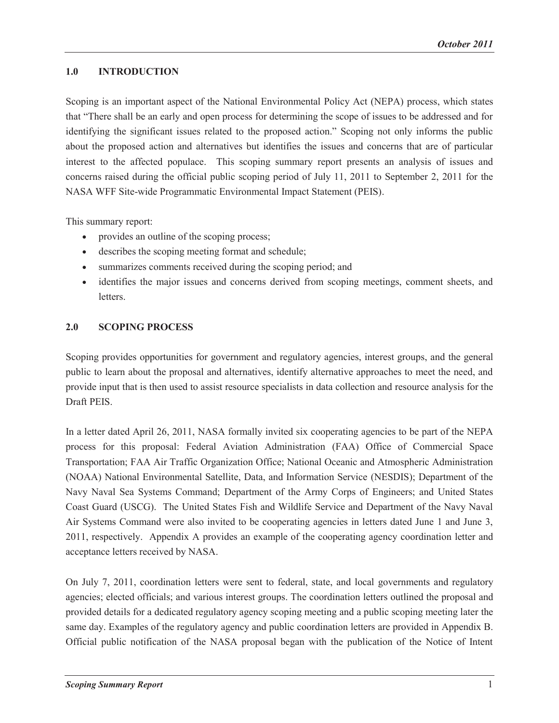## **1.0 INTRODUCTION**

Scoping is an important aspect of the National Environmental Policy Act (NEPA) process, which states that "There shall be an early and open process for determining the scope of issues to be addressed and for identifying the significant issues related to the proposed action." Scoping not only informs the public about the proposed action and alternatives but identifies the issues and concerns that are of particular interest to the affected populace. This scoping summary report presents an analysis of issues and concerns raised during the official public scoping period of July 11, 2011 to September 2, 2011 for the NASA WFF Site-wide Programmatic Environmental Impact Statement (PEIS).

This summary report:

- provides an outline of the scoping process;
- describes the scoping meeting format and schedule;
- summarizes comments received during the scoping period; and
- identifies the major issues and concerns derived from scoping meetings, comment sheets, and letters.

# **2.0 SCOPING PROCESS**

Scoping provides opportunities for government and regulatory agencies, interest groups, and the general public to learn about the proposal and alternatives, identify alternative approaches to meet the need, and provide input that is then used to assist resource specialists in data collection and resource analysis for the Draft PEIS.

In a letter dated April 26, 2011, NASA formally invited six cooperating agencies to be part of the NEPA process for this proposal: Federal Aviation Administration (FAA) Office of Commercial Space Transportation; FAA Air Traffic Organization Office; National Oceanic and Atmospheric Administration (NOAA) National Environmental Satellite, Data, and Information Service (NESDIS); Department of the Navy Naval Sea Systems Command; Department of the Army Corps of Engineers; and United States Coast Guard (USCG). The United States Fish and Wildlife Service and Department of the Navy Naval Air Systems Command were also invited to be cooperating agencies in letters dated June 1 and June 3, 2011, respectively. Appendix A provides an example of the cooperating agency coordination letter and acceptance letters received by NASA.

On July 7, 2011, coordination letters were sent to federal, state, and local governments and regulatory agencies; elected officials; and various interest groups. The coordination letters outlined the proposal and provided details for a dedicated regulatory agency scoping meeting and a public scoping meeting later the same day. Examples of the regulatory agency and public coordination letters are provided in Appendix B. Official public notification of the NASA proposal began with the publication of the Notice of Intent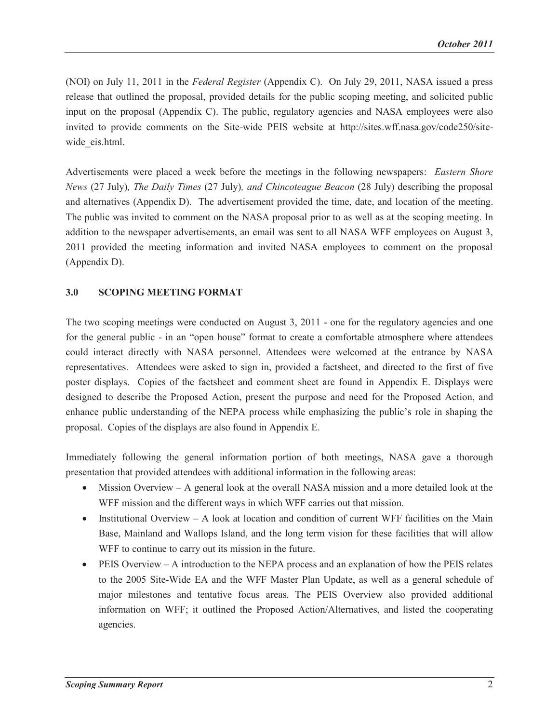(NOI) on July 11, 2011 in the *Federal Register* (Appendix C). On July 29, 2011, NASA issued a press release that outlined the proposal, provided details for the public scoping meeting, and solicited public input on the proposal (Appendix C). The public, regulatory agencies and NASA employees were also invited to provide comments on the Site-wide PEIS website at http://sites.wff.nasa.gov/code250/sitewide\_eis.html.

Advertisements were placed a week before the meetings in the following newspapers: *Eastern Shore News* (27 July)*, The Daily Times* (27 July)*, and Chincoteague Beacon* (28 July) describing the proposal and alternatives (Appendix D). The advertisement provided the time, date, and location of the meeting. The public was invited to comment on the NASA proposal prior to as well as at the scoping meeting. In addition to the newspaper advertisements, an email was sent to all NASA WFF employees on August 3, 2011 provided the meeting information and invited NASA employees to comment on the proposal (Appendix D).

### **3.0 SCOPING MEETING FORMAT**

The two scoping meetings were conducted on August 3, 2011 - one for the regulatory agencies and one for the general public - in an "open house" format to create a comfortable atmosphere where attendees could interact directly with NASA personnel. Attendees were welcomed at the entrance by NASA representatives. Attendees were asked to sign in, provided a factsheet, and directed to the first of five poster displays. Copies of the factsheet and comment sheet are found in Appendix E. Displays were designed to describe the Proposed Action, present the purpose and need for the Proposed Action, and enhance public understanding of the NEPA process while emphasizing the public's role in shaping the proposal. Copies of the displays are also found in Appendix E.

Immediately following the general information portion of both meetings, NASA gave a thorough presentation that provided attendees with additional information in the following areas:

- $\bullet$  Mission Overview A general look at the overall NASA mission and a more detailed look at the WFF mission and the different ways in which WFF carries out that mission.
- Institutional Overview A look at location and condition of current WFF facilities on the Main Base, Mainland and Wallops Island, and the long term vision for these facilities that will allow WFF to continue to carry out its mission in the future.
- $\bullet$  PEIS Overview A introduction to the NEPA process and an explanation of how the PEIS relates to the 2005 Site-Wide EA and the WFF Master Plan Update, as well as a general schedule of major milestones and tentative focus areas. The PEIS Overview also provided additional information on WFF; it outlined the Proposed Action/Alternatives, and listed the cooperating agencies.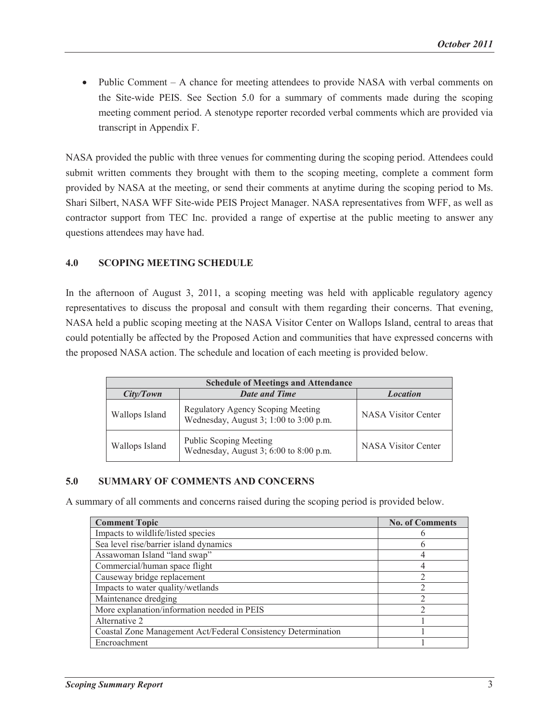• Public Comment – A chance for meeting attendees to provide NASA with verbal comments on the Site-wide PEIS. See Section 5.0 for a summary of comments made during the scoping meeting comment period. A stenotype reporter recorded verbal comments which are provided via transcript in Appendix F.

NASA provided the public with three venues for commenting during the scoping period. Attendees could submit written comments they brought with them to the scoping meeting, complete a comment form provided by NASA at the meeting, or send their comments at anytime during the scoping period to Ms. Shari Silbert, NASA WFF Site-wide PEIS Project Manager. NASA representatives from WFF, as well as contractor support from TEC Inc. provided a range of expertise at the public meeting to answer any questions attendees may have had.

### **4.0 SCOPING MEETING SCHEDULE**

In the afternoon of August 3, 2011, a scoping meeting was held with applicable regulatory agency representatives to discuss the proposal and consult with them regarding their concerns. That evening, NASA held a public scoping meeting at the NASA Visitor Center on Wallops Island, central to areas that could potentially be affected by the Proposed Action and communities that have expressed concerns with the proposed NASA action. The schedule and location of each meeting is provided below.

| <b>Schedule of Meetings and Attendance</b> |                                                                             |                            |  |  |  |  |
|--------------------------------------------|-----------------------------------------------------------------------------|----------------------------|--|--|--|--|
| City/Town                                  | <b>Date and Time</b>                                                        | <b>Location</b>            |  |  |  |  |
| Wallops Island                             | Regulatory Agency Scoping Meeting<br>Wednesday, August 3; 1:00 to 3:00 p.m. | <b>NASA Visitor Center</b> |  |  |  |  |
| Wallops Island                             | <b>Public Scoping Meeting</b><br>Wednesday, August 3; 6:00 to 8:00 p.m.     | <b>NASA Visitor Center</b> |  |  |  |  |

#### **5.0 SUMMARY OF COMMENTS AND CONCERNS**

A summary of all comments and concerns raised during the scoping period is provided below.

| <b>Comment Topic</b>                                          | <b>No. of Comments</b> |
|---------------------------------------------------------------|------------------------|
| Impacts to wildlife/listed species                            | n                      |
| Sea level rise/barrier island dynamics                        | h                      |
| Assawoman Island "land swap"                                  | 4                      |
| Commercial/human space flight                                 | 4                      |
| Causeway bridge replacement                                   | 2                      |
| Impacts to water quality/wetlands                             | 2                      |
| Maintenance dredging                                          | C                      |
| More explanation/information needed in PEIS                   | ↑                      |
| Alternative 2                                                 |                        |
| Coastal Zone Management Act/Federal Consistency Determination |                        |
| Encroachment                                                  |                        |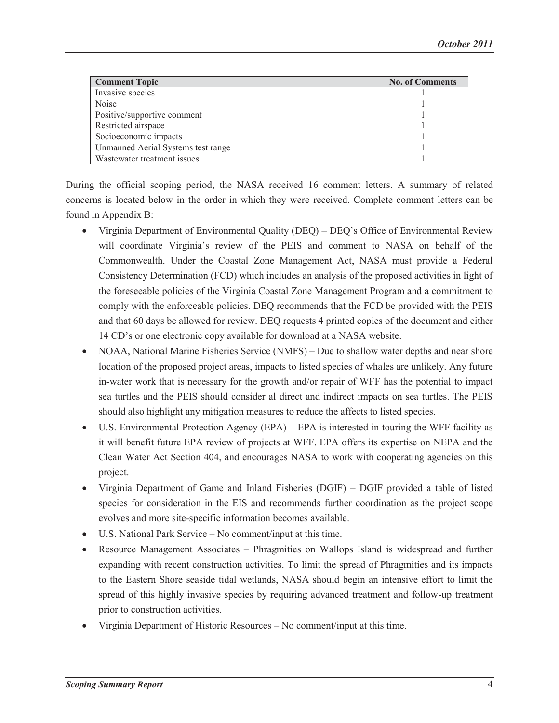| <b>Comment Topic</b>               | <b>No. of Comments</b> |
|------------------------------------|------------------------|
| Invasive species                   |                        |
| Noise                              |                        |
| Positive/supportive comment        |                        |
| Restricted airspace                |                        |
| Socioeconomic impacts              |                        |
| Unmanned Aerial Systems test range |                        |
| Wastewater treatment issues        |                        |

During the official scoping period, the NASA received 16 comment letters. A summary of related concerns is located below in the order in which they were received. Complete comment letters can be found in Appendix B:

- Virginia Department of Environmental Quality (DEQ) DEQ's Office of Environmental Review will coordinate Virginia's review of the PEIS and comment to NASA on behalf of the Commonwealth. Under the Coastal Zone Management Act, NASA must provide a Federal Consistency Determination (FCD) which includes an analysis of the proposed activities in light of the foreseeable policies of the Virginia Coastal Zone Management Program and a commitment to comply with the enforceable policies. DEQ recommends that the FCD be provided with the PEIS and that 60 days be allowed for review. DEQ requests 4 printed copies of the document and either 14 CD's or one electronic copy available for download at a NASA website.
- NOAA, National Marine Fisheries Service (NMFS) Due to shallow water depths and near shore location of the proposed project areas, impacts to listed species of whales are unlikely. Any future in-water work that is necessary for the growth and/or repair of WFF has the potential to impact sea turtles and the PEIS should consider al direct and indirect impacts on sea turtles. The PEIS should also highlight any mitigation measures to reduce the affects to listed species.
- $\bullet$  U.S. Environmental Protection Agency (EPA) EPA is interested in touring the WFF facility as it will benefit future EPA review of projects at WFF. EPA offers its expertise on NEPA and the Clean Water Act Section 404, and encourages NASA to work with cooperating agencies on this project.
- Virginia Department of Game and Inland Fisheries (DGIF) DGIF provided a table of listed species for consideration in the EIS and recommends further coordination as the project scope evolves and more site-specific information becomes available.
- x U.S. National Park Service No comment/input at this time.
- x Resource Management Associates Phragmities on Wallops Island is widespread and further expanding with recent construction activities. To limit the spread of Phragmities and its impacts to the Eastern Shore seaside tidal wetlands, NASA should begin an intensive effort to limit the spread of this highly invasive species by requiring advanced treatment and follow-up treatment prior to construction activities.
- x Virginia Department of Historic Resources No comment/input at this time.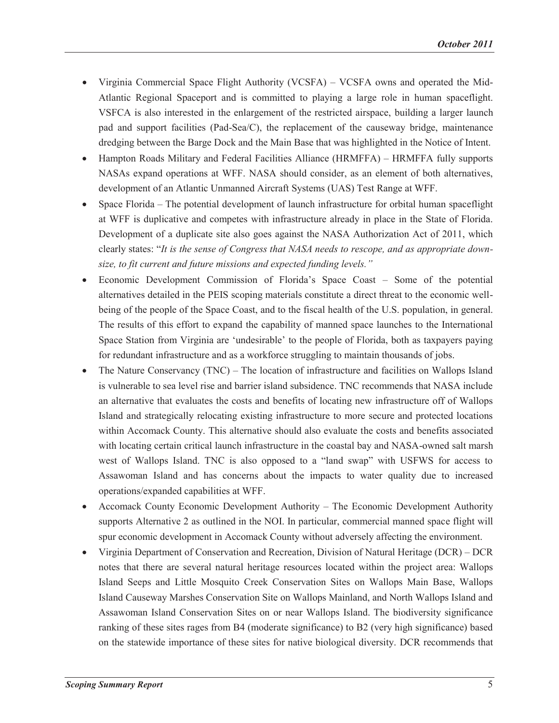- Virginia Commercial Space Flight Authority (VCSFA) VCSFA owns and operated the Mid-Atlantic Regional Spaceport and is committed to playing a large role in human spaceflight. VSFCA is also interested in the enlargement of the restricted airspace, building a larger launch pad and support facilities (Pad-Sea/C), the replacement of the causeway bridge, maintenance dredging between the Barge Dock and the Main Base that was highlighted in the Notice of Intent.
- Hampton Roads Military and Federal Facilities Alliance (HRMFFA) HRMFFA fully supports NASAs expand operations at WFF. NASA should consider, as an element of both alternatives, development of an Atlantic Unmanned Aircraft Systems (UAS) Test Range at WFF.
- Space Florida The potential development of launch infrastructure for orbital human spaceflight at WFF is duplicative and competes with infrastructure already in place in the State of Florida. Development of a duplicate site also goes against the NASA Authorization Act of 2011, which clearly states: "*It is the sense of Congress that NASA needs to rescope, and as appropriate downsize, to fit current and future missions and expected funding levels."*
- x Economic Development Commission of Florida's Space Coast Some of the potential alternatives detailed in the PEIS scoping materials constitute a direct threat to the economic wellbeing of the people of the Space Coast, and to the fiscal health of the U.S. population, in general. The results of this effort to expand the capability of manned space launches to the International Space Station from Virginia are 'undesirable' to the people of Florida, both as taxpayers paying for redundant infrastructure and as a workforce struggling to maintain thousands of jobs.
- The Nature Conservancy  $(TNC)$  The location of infrastructure and facilities on Wallops Island is vulnerable to sea level rise and barrier island subsidence. TNC recommends that NASA include an alternative that evaluates the costs and benefits of locating new infrastructure off of Wallops Island and strategically relocating existing infrastructure to more secure and protected locations within Accomack County. This alternative should also evaluate the costs and benefits associated with locating certain critical launch infrastructure in the coastal bay and NASA-owned salt marsh west of Wallops Island. TNC is also opposed to a "land swap" with USFWS for access to Assawoman Island and has concerns about the impacts to water quality due to increased operations/expanded capabilities at WFF.
- Accomack County Economic Development Authority The Economic Development Authority supports Alternative 2 as outlined in the NOI. In particular, commercial manned space flight will spur economic development in Accomack County without adversely affecting the environment.
- x Virginia Department of Conservation and Recreation, Division of Natural Heritage (DCR) DCR notes that there are several natural heritage resources located within the project area: Wallops Island Seeps and Little Mosquito Creek Conservation Sites on Wallops Main Base, Wallops Island Causeway Marshes Conservation Site on Wallops Mainland, and North Wallops Island and Assawoman Island Conservation Sites on or near Wallops Island. The biodiversity significance ranking of these sites rages from B4 (moderate significance) to B2 (very high significance) based on the statewide importance of these sites for native biological diversity. DCR recommends that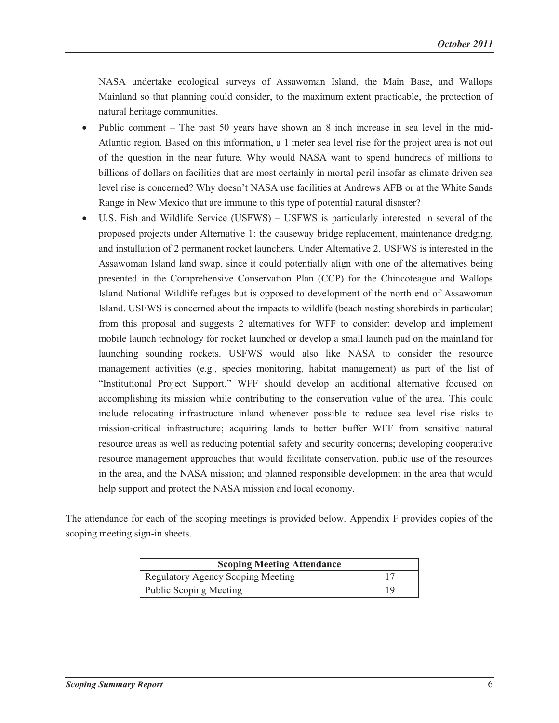NASA undertake ecological surveys of Assawoman Island, the Main Base, and Wallops Mainland so that planning could consider, to the maximum extent practicable, the protection of natural heritage communities.

- Public comment The past 50 years have shown an 8 inch increase in sea level in the mid-Atlantic region. Based on this information, a 1 meter sea level rise for the project area is not out of the question in the near future. Why would NASA want to spend hundreds of millions to billions of dollars on facilities that are most certainly in mortal peril insofar as climate driven sea level rise is concerned? Why doesn't NASA use facilities at Andrews AFB or at the White Sands Range in New Mexico that are immune to this type of potential natural disaster?
- x U.S. Fish and Wildlife Service (USFWS) USFWS is particularly interested in several of the proposed projects under Alternative 1: the causeway bridge replacement, maintenance dredging, and installation of 2 permanent rocket launchers. Under Alternative 2, USFWS is interested in the Assawoman Island land swap, since it could potentially align with one of the alternatives being presented in the Comprehensive Conservation Plan (CCP) for the Chincoteague and Wallops Island National Wildlife refuges but is opposed to development of the north end of Assawoman Island. USFWS is concerned about the impacts to wildlife (beach nesting shorebirds in particular) from this proposal and suggests 2 alternatives for WFF to consider: develop and implement mobile launch technology for rocket launched or develop a small launch pad on the mainland for launching sounding rockets. USFWS would also like NASA to consider the resource management activities (e.g., species monitoring, habitat management) as part of the list of "Institutional Project Support." WFF should develop an additional alternative focused on accomplishing its mission while contributing to the conservation value of the area. This could include relocating infrastructure inland whenever possible to reduce sea level rise risks to mission-critical infrastructure; acquiring lands to better buffer WFF from sensitive natural resource areas as well as reducing potential safety and security concerns; developing cooperative resource management approaches that would facilitate conservation, public use of the resources in the area, and the NASA mission; and planned responsible development in the area that would help support and protect the NASA mission and local economy.

The attendance for each of the scoping meetings is provided below. Appendix F provides copies of the scoping meeting sign-in sheets.

| <b>Scoping Meeting Attendance</b>        |    |
|------------------------------------------|----|
| <b>Regulatory Agency Scoping Meeting</b> |    |
| <b>Public Scoping Meeting</b>            | 10 |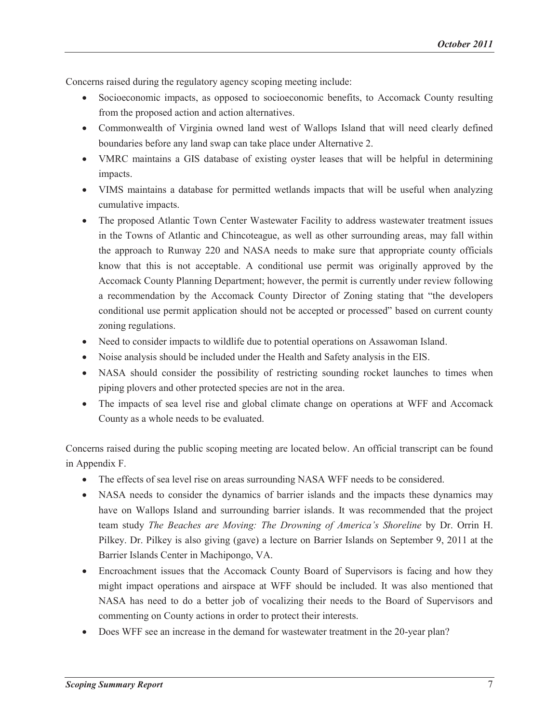Concerns raised during the regulatory agency scoping meeting include:

- Socioeconomic impacts, as opposed to socioeconomic benefits, to Accomack County resulting from the proposed action and action alternatives.
- Commonwealth of Virginia owned land west of Wallops Island that will need clearly defined boundaries before any land swap can take place under Alternative 2.
- VMRC maintains a GIS database of existing oyster leases that will be helpful in determining impacts.
- VIMS maintains a database for permitted wetlands impacts that will be useful when analyzing cumulative impacts.
- The proposed Atlantic Town Center Wastewater Facility to address wastewater treatment issues in the Towns of Atlantic and Chincoteague, as well as other surrounding areas, may fall within the approach to Runway 220 and NASA needs to make sure that appropriate county officials know that this is not acceptable. A conditional use permit was originally approved by the Accomack County Planning Department; however, the permit is currently under review following a recommendation by the Accomack County Director of Zoning stating that "the developers conditional use permit application should not be accepted or processed" based on current county zoning regulations.
- Need to consider impacts to wildlife due to potential operations on Assawoman Island.
- Noise analysis should be included under the Health and Safety analysis in the EIS.
- NASA should consider the possibility of restricting sounding rocket launches to times when piping plovers and other protected species are not in the area.
- The impacts of sea level rise and global climate change on operations at WFF and Accomack County as a whole needs to be evaluated.

Concerns raised during the public scoping meeting are located below. An official transcript can be found in Appendix F.

- The effects of sea level rise on areas surrounding NASA WFF needs to be considered.
- NASA needs to consider the dynamics of barrier islands and the impacts these dynamics may have on Wallops Island and surrounding barrier islands. It was recommended that the project team study *The Beaches are Moving: The Drowning of America's Shoreline* by Dr. Orrin H. Pilkey. Dr. Pilkey is also giving (gave) a lecture on Barrier Islands on September 9, 2011 at the Barrier Islands Center in Machipongo, VA.
- Encroachment issues that the Accomack County Board of Supervisors is facing and how they might impact operations and airspace at WFF should be included. It was also mentioned that NASA has need to do a better job of vocalizing their needs to the Board of Supervisors and commenting on County actions in order to protect their interests.
- Does WFF see an increase in the demand for wastewater treatment in the 20-year plan?